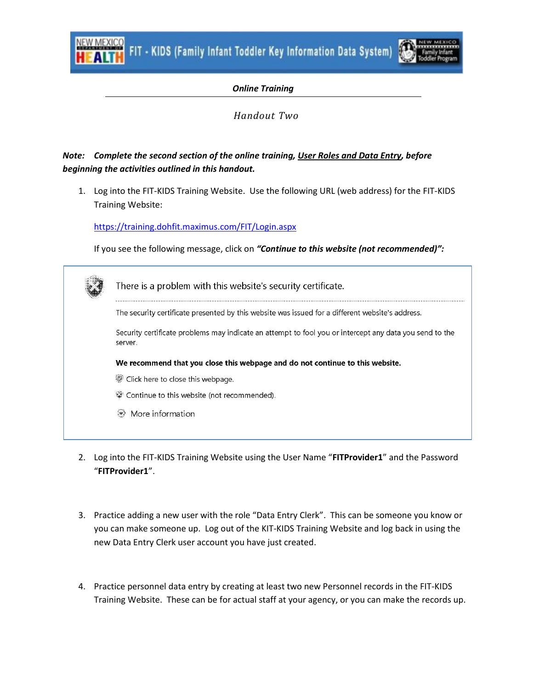FIT - KIDS (Family Infant Toddler Key Information Data System)



## *Online Training*

## *Handout Two*

## *Note: Complete the second section of the online training, User Roles and Data Entry, before beginning the activities outlined in this handout.*

1. Log into the FIT-KIDS Training Website. Use the following URL (web address) for the FIT-KIDS Training Website:

<https://training.dohfit.maximus.com/FIT/Login.aspx>

If you see the following message, click on *"Continue to this website (not recommended)":*

| There is a problem with this website's security certificate.                                                       |
|--------------------------------------------------------------------------------------------------------------------|
| The security certificate presented by this website was issued for a different website's address.                   |
| Security certificate problems may indicate an attempt to fool you or intercept any data you send to the<br>server. |
| We recommend that you close this webpage and do not continue to this website.                                      |
| Click here to close this webpage.                                                                                  |
| Continue to this website (not recommended).                                                                        |
| More information                                                                                                   |
|                                                                                                                    |

- 2. Log into the FIT-KIDS Training Website using the User Name "**FITProvider1**" and the Password "**FITProvider1**".
- 3. Practice adding a new user with the role "Data Entry Clerk". This can be someone you know or you can make someone up. Log out of the KIT-KIDS Training Website and log back in using the new Data Entry Clerk user account you have just created.
- 4. Practice personnel data entry by creating at least two new Personnel records in the FIT-KIDS Training Website. These can be for actual staff at your agency, or you can make the records up.